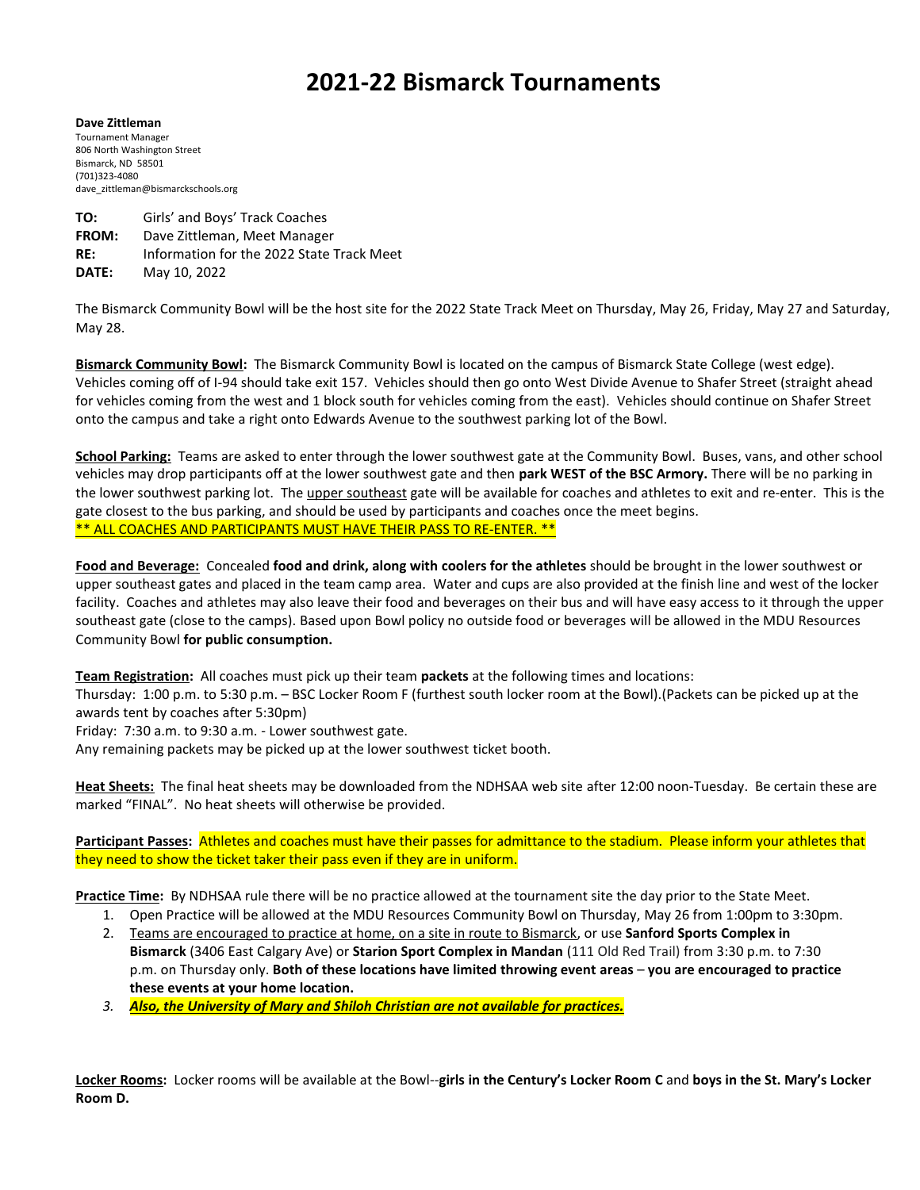# **2021-22 Bismarck Tournaments**

**Dave Zittleman** Tournament Manager 806 North Washington Street Bismarck, ND 58501 (701)323-4080 dave\_zittleman@bismarckschools.org

**TO:** Girls' and Boys' Track Coaches **FROM:** Dave Zittleman, Meet Manager **RE:** Information for the 2022 State Track Meet **DATE:** May 10, 2022

The Bismarck Community Bowl will be the host site for the 2022 State Track Meet on Thursday, May 26, Friday, May 27 and Saturday, May 28.

**Bismarck Community Bowl:** The Bismarck Community Bowl is located on the campus of Bismarck State College (west edge). Vehicles coming off of I-94 should take exit 157. Vehicles should then go onto West Divide Avenue to Shafer Street (straight ahead for vehicles coming from the west and 1 block south for vehicles coming from the east). Vehicles should continue on Shafer Street onto the campus and take a right onto Edwards Avenue to the southwest parking lot of the Bowl.

**School Parking:** Teams are asked to enter through the lower southwest gate at the Community Bowl. Buses, vans, and other school vehicles may drop participants off at the lower southwest gate and then **park WEST of the BSC Armory.** There will be no parking in the lower southwest parking lot. The upper southeast gate will be available for coaches and athletes to exit and re-enter. This is the gate closest to the bus parking, and should be used by participants and coaches once the meet begins. \*\* ALL COACHES AND PARTICIPANTS MUST HAVE THEIR PASS TO RE-ENTER. \*\*

**Food and Beverage:** Concealed **food and drink, along with coolers for the athletes** should be brought in the lower southwest or upper southeast gates and placed in the team camp area. Water and cups are also provided at the finish line and west of the locker facility. Coaches and athletes may also leave their food and beverages on their bus and will have easy access to it through the upper southeast gate (close to the camps). Based upon Bowl policy no outside food or beverages will be allowed in the MDU Resources Community Bowl **for public consumption.**

**Team Registration:** All coaches must pick up their team **packets** at the following times and locations:

Thursday: 1:00 p.m. to 5:30 p.m. – BSC Locker Room F (furthest south locker room at the Bowl).(Packets can be picked up at the awards tent by coaches after 5:30pm)

Friday: 7:30 a.m. to 9:30 a.m. - Lower southwest gate.

Any remaining packets may be picked up at the lower southwest ticket booth.

**Heat Sheets:** The final heat sheets may be downloaded from the NDHSAA web site after 12:00 noon-Tuesday. Be certain these are marked "FINAL". No heat sheets will otherwise be provided.

**Participant Passes:** Athletes and coaches must have their passes for admittance to the stadium. Please inform your athletes that they need to show the ticket taker their pass even if they are in uniform.

**Practice Time:** By NDHSAA rule there will be no practice allowed at the tournament site the day prior to the State Meet.

- 1. Open Practice will be allowed at the MDU Resources Community Bowl on Thursday, May 26 from 1:00pm to 3:30pm.
- 2. Teams are encouraged to practice at home, on a site in route to Bismarck, or use **Sanford Sports Complex in Bismarck** (3406 East Calgary Ave) or **Starion Sport Complex in Mandan** (111 Old Red Trail) from 3:30 p.m. to 7:30 p.m. on Thursday only. **Both of these locations have limited throwing event areas** – **you are encouraged to practice these events at your home location.**
- *3. Also, the University of Mary and Shiloh Christian are not available for practices.*

**Locker Rooms:** Locker rooms will be available at the Bowl--**girls in the Century's Locker Room C** and **boys in the St. Mary's Locker Room D.**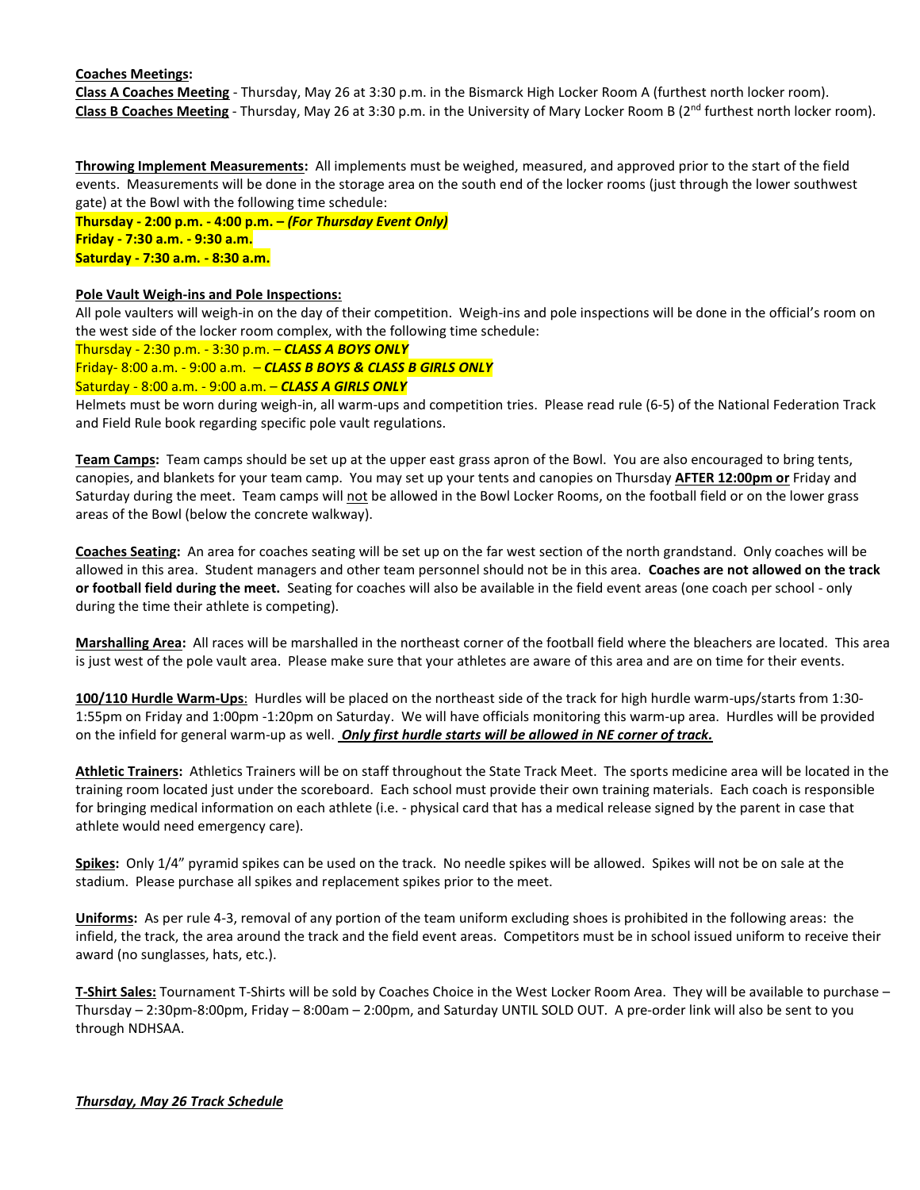#### **Coaches Meetings:**

**Class A Coaches Meeting** - Thursday, May 26 at 3:30 p.m. in the Bismarck High Locker Room A (furthest north locker room). Class B Coaches Meeting - Thursday, May 26 at 3:30 p.m. in the University of Mary Locker Room B (2<sup>nd</sup> furthest north locker room).

**Throwing Implement Measurements:** All implements must be weighed, measured, and approved prior to the start of the field events. Measurements will be done in the storage area on the south end of the locker rooms (just through the lower southwest gate) at the Bowl with the following time schedule:

**Thursday - 2:00 p.m. - 4:00 p.m. –** *(For Thursday Event Only)* **Friday - 7:30 a.m. - 9:30 a.m. Saturday - 7:30 a.m. - 8:30 a.m.**

#### **Pole Vault Weigh-ins and Pole Inspections:**

All pole vaulters will weigh-in on the day of their competition. Weigh-ins and pole inspections will be done in the official's room on the west side of the locker room complex, with the following time schedule:

Thursday - 2:30 p.m. - 3:30 p.m. – *CLASS A BOYS ONLY*

Friday- 8:00 a.m. - 9:00 a.m. – *CLASS B BOYS & CLASS B GIRLS ONLY*

Saturday - 8:00 a.m. - 9:00 a.m. – *CLASS A GIRLS ONLY*

Helmets must be worn during weigh-in, all warm-ups and competition tries. Please read rule (6-5) of the National Federation Track and Field Rule book regarding specific pole vault regulations.

**Team Camps:** Team camps should be set up at the upper east grass apron of the Bowl. You are also encouraged to bring tents, canopies, and blankets for your team camp. You may set up your tents and canopies on Thursday **AFTER 12:00pm or** Friday and Saturday during the meet. Team camps will not be allowed in the Bowl Locker Rooms, on the football field or on the lower grass areas of the Bowl (below the concrete walkway).

**Coaches Seating:** An area for coaches seating will be set up on the far west section of the north grandstand. Only coaches will be allowed in this area. Student managers and other team personnel should not be in this area. **Coaches are not allowed on the track or football field during the meet.** Seating for coaches will also be available in the field event areas (one coach per school - only during the time their athlete is competing).

**Marshalling Area:** All races will be marshalled in the northeast corner of the football field where the bleachers are located. This area is just west of the pole vault area. Please make sure that your athletes are aware of this area and are on time for their events.

**100/110 Hurdle Warm-Ups**: Hurdles will be placed on the northeast side of the track for high hurdle warm-ups/starts from 1:30- 1:55pm on Friday and 1:00pm -1:20pm on Saturday. We will have officials monitoring this warm-up area. Hurdles will be provided on the infield for general warm-up as well. *Only first hurdle starts will be allowed in NE corner of track.*

**Athletic Trainers:** Athletics Trainers will be on staff throughout the State Track Meet. The sports medicine area will be located in the training room located just under the scoreboard. Each school must provide their own training materials. Each coach is responsible for bringing medical information on each athlete (i.e. - physical card that has a medical release signed by the parent in case that athlete would need emergency care).

**Spikes:** Only 1/4" pyramid spikes can be used on the track. No needle spikes will be allowed. Spikes will not be on sale at the stadium. Please purchase all spikes and replacement spikes prior to the meet.

**Uniforms:** As per rule 4-3, removal of any portion of the team uniform excluding shoes is prohibited in the following areas: the infield, the track, the area around the track and the field event areas. Competitors must be in school issued uniform to receive their award (no sunglasses, hats, etc.).

**T-Shirt Sales:** Tournament T-Shirts will be sold by Coaches Choice in the West Locker Room Area. They will be available to purchase – Thursday – 2:30pm-8:00pm, Friday – 8:00am – 2:00pm, and Saturday UNTIL SOLD OUT. A pre-order link will also be sent to you through NDHSAA.